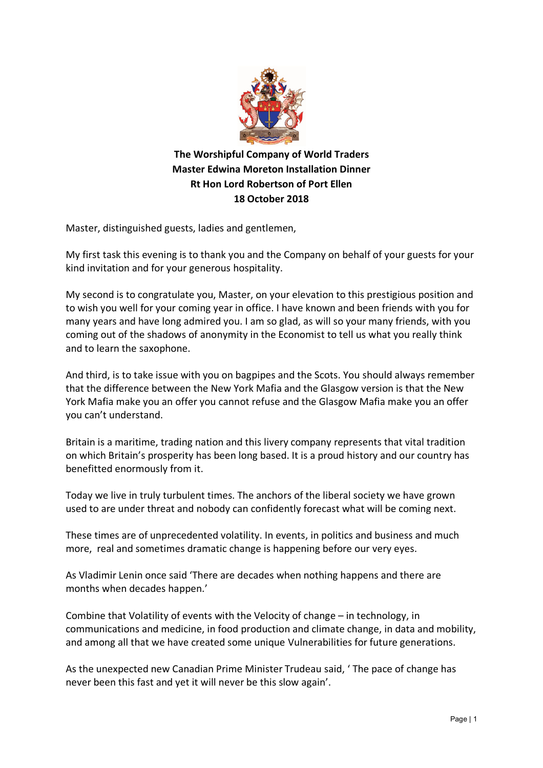

**The Worshipful Company of World Traders Master Edwina Moreton Installation Dinner Rt Hon Lord Robertson of Port Ellen 18 October 2018**

Master, distinguished guests, ladies and gentlemen,

My first task this evening is to thank you and the Company on behalf of your guests for your kind invitation and for your generous hospitality.

My second is to congratulate you, Master, on your elevation to this prestigious position and to wish you well for your coming year in office. I have known and been friends with you for many years and have long admired you. I am so glad, as will so your many friends, with you coming out of the shadows of anonymity in the Economist to tell us what you really think and to learn the saxophone.

And third, is to take issue with you on bagpipes and the Scots. You should always remember that the difference between the New York Mafia and the Glasgow version is that the New York Mafia make you an offer you cannot refuse and the Glasgow Mafia make you an offer you can't understand.

Britain is a maritime, trading nation and this livery company represents that vital tradition on which Britain's prosperity has been long based. It is a proud history and our country has benefitted enormously from it.

Today we live in truly turbulent times. The anchors of the liberal society we have grown used to are under threat and nobody can confidently forecast what will be coming next.

These times are of unprecedented volatility. In events, in politics and business and much more, real and sometimes dramatic change is happening before our very eyes.

As Vladimir Lenin once said 'There are decades when nothing happens and there are months when decades happen.'

Combine that Volatility of events with the Velocity of change – in technology, in communications and medicine, in food production and climate change, in data and mobility, and among all that we have created some unique Vulnerabilities for future generations.

As the unexpected new Canadian Prime Minister Trudeau said, ' The pace of change has never been this fast and yet it will never be this slow again'.